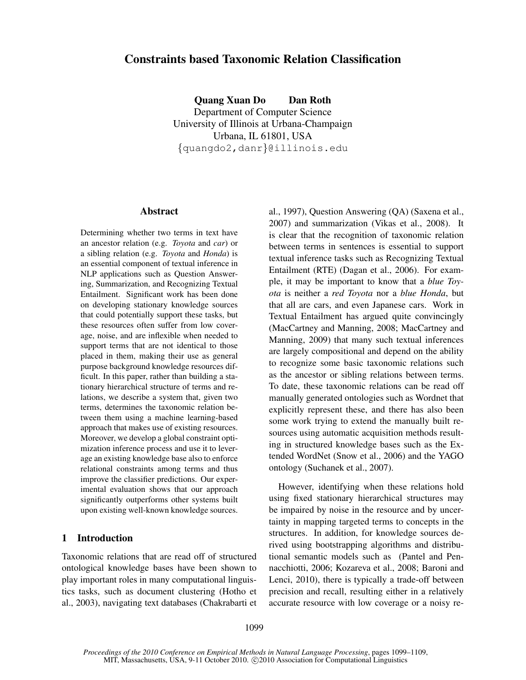# Constraints based Taxonomic Relation Classification

Quang Xuan Do Dan Roth Department of Computer Science University of Illinois at Urbana-Champaign Urbana, IL 61801, USA {quangdo2,danr}@illinois.edu

### Abstract

Determining whether two terms in text have an ancestor relation (e.g. *Toyota* and *car*) or a sibling relation (e.g. *Toyota* and *Honda*) is an essential component of textual inference in NLP applications such as Question Answering, Summarization, and Recognizing Textual Entailment. Significant work has been done on developing stationary knowledge sources that could potentially support these tasks, but these resources often suffer from low coverage, noise, and are inflexible when needed to support terms that are not identical to those placed in them, making their use as general purpose background knowledge resources difficult. In this paper, rather than building a stationary hierarchical structure of terms and relations, we describe a system that, given two terms, determines the taxonomic relation between them using a machine learning-based approach that makes use of existing resources. Moreover, we develop a global constraint optimization inference process and use it to leverage an existing knowledge base also to enforce relational constraints among terms and thus improve the classifier predictions. Our experimental evaluation shows that our approach significantly outperforms other systems built upon existing well-known knowledge sources.

# 1 Introduction

Taxonomic relations that are read off of structured ontological knowledge bases have been shown to play important roles in many computational linguistics tasks, such as document clustering (Hotho et al., 2003), navigating text databases (Chakrabarti et al., 1997), Question Answering (QA) (Saxena et al., 2007) and summarization (Vikas et al., 2008). It is clear that the recognition of taxonomic relation between terms in sentences is essential to support textual inference tasks such as Recognizing Textual Entailment (RTE) (Dagan et al., 2006). For example, it may be important to know that a *blue Toyota* is neither a *red Toyota* nor a *blue Honda*, but that all are cars, and even Japanese cars. Work in Textual Entailment has argued quite convincingly (MacCartney and Manning, 2008; MacCartney and Manning, 2009) that many such textual inferences are largely compositional and depend on the ability to recognize some basic taxonomic relations such as the ancestor or sibling relations between terms. To date, these taxonomic relations can be read off manually generated ontologies such as Wordnet that explicitly represent these, and there has also been some work trying to extend the manually built resources using automatic acquisition methods resulting in structured knowledge bases such as the Extended WordNet (Snow et al., 2006) and the YAGO ontology (Suchanek et al., 2007).

However, identifying when these relations hold using fixed stationary hierarchical structures may be impaired by noise in the resource and by uncertainty in mapping targeted terms to concepts in the structures. In addition, for knowledge sources derived using bootstrapping algorithms and distributional semantic models such as (Pantel and Pennacchiotti, 2006; Kozareva et al., 2008; Baroni and Lenci, 2010), there is typically a trade-off between precision and recall, resulting either in a relatively accurate resource with low coverage or a noisy re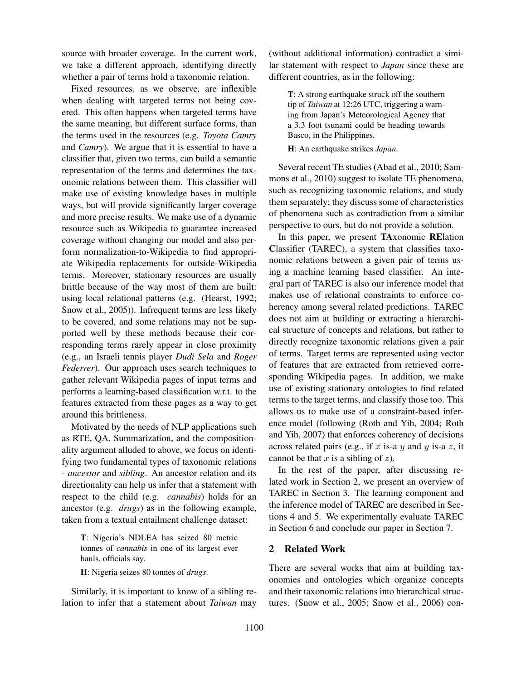source with broader coverage. In the current work, we take a different approach, identifying directly whether a pair of terms hold a taxonomic relation.

Fixed resources, as we observe, are inflexible when dealing with targeted terms not being covered. This often happens when targeted terms have the same meaning, but different surface forms, than the terms used in the resources (e.g. *Toyota Camry* and *Camry*). We argue that it is essential to have a classifier that, given two terms, can build a semantic representation of the terms and determines the taxonomic relations between them. This classifier will make use of existing knowledge bases in multiple ways, but will provide significantly larger coverage and more precise results. We make use of a dynamic resource such as Wikipedia to guarantee increased coverage without changing our model and also perform normalization-to-Wikipedia to find appropriate Wikipedia replacements for outside-Wikipedia terms. Moreover, stationary resources are usually brittle because of the way most of them are built: using local relational patterns (e.g. (Hearst, 1992; Snow et al., 2005)). Infrequent terms are less likely to be covered, and some relations may not be supported well by these methods because their corresponding terms rarely appear in close proximity (e.g., an Israeli tennis player *Dudi Sela* and *Roger Federrer*). Our approach uses search techniques to gather relevant Wikipedia pages of input terms and performs a learning-based classification w.r.t. to the features extracted from these pages as a way to get around this brittleness.

Motivated by the needs of NLP applications such as RTE, QA, Summarization, and the compositionality argument alluded to above, we focus on identifying two fundamental types of taxonomic relations - *ancestor* and *sibling*. An ancestor relation and its directionality can help us infer that a statement with respect to the child (e.g. *cannabis*) holds for an ancestor (e.g. *drugs*) as in the following example, taken from a textual entailment challenge dataset:

T: Nigeria's NDLEA has seized 80 metric tonnes of *cannabis* in one of its largest ever hauls, officials say.

H: Nigeria seizes 80 tonnes of *drugs*.

Similarly, it is important to know of a sibling relation to infer that a statement about *Taiwan* may (without additional information) contradict a similar statement with respect to *Japan* since these are different countries, as in the following:

T: A strong earthquake struck off the southern tip of *Taiwan* at 12:26 UTC, triggering a warning from Japan's Meteorological Agency that a 3.3 foot tsunami could be heading towards Basco, in the Philippines.

H: An earthquake strikes *Japan*.

Several recent TE studies (Abad et al., 2010; Sammons et al., 2010) suggest to isolate TE phenomena, such as recognizing taxonomic relations, and study them separately; they discuss some of characteristics of phenomena such as contradiction from a similar perspective to ours, but do not provide a solution.

In this paper, we present TAxonomic RElation Classifier (TAREC), a system that classifies taxonomic relations between a given pair of terms using a machine learning based classifier. An integral part of TAREC is also our inference model that makes use of relational constraints to enforce coherency among several related predictions. TAREC does not aim at building or extracting a hierarchical structure of concepts and relations, but rather to directly recognize taxonomic relations given a pair of terms. Target terms are represented using vector of features that are extracted from retrieved corresponding Wikipedia pages. In addition, we make use of existing stationary ontologies to find related terms to the target terms, and classify those too. This allows us to make use of a constraint-based inference model (following (Roth and Yih, 2004; Roth and Yih, 2007) that enforces coherency of decisions across related pairs (e.g., if x is-a y and y is-a z, it cannot be that  $x$  is a sibling of  $z$ ).

In the rest of the paper, after discussing related work in Section 2, we present an overview of TAREC in Section 3. The learning component and the inference model of TAREC are described in Sections 4 and 5. We experimentally evaluate TAREC in Section 6 and conclude our paper in Section 7.

# 2 Related Work

There are several works that aim at building taxonomies and ontologies which organize concepts and their taxonomic relations into hierarchical structures. (Snow et al., 2005; Snow et al., 2006) con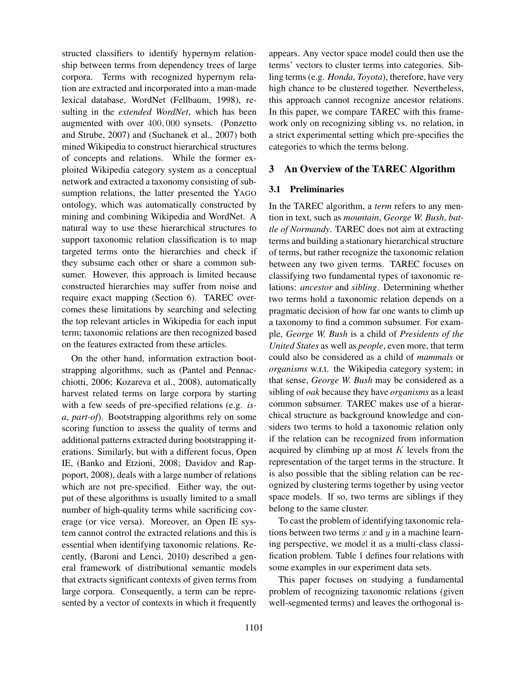structed classifiers to identify hypernym relationship between terms from dependency trees of large corpora. Terms with recognized hypernym relation are extracted and incorporated into a man-made lexical database, WordNet (Fellbaum, 1998), resulting in the *extended WordNet*, which has been augmented with over 400, 000 synsets. (Ponzetto and Strube, 2007) and (Suchanek et al., 2007) both mined Wikipedia to construct hierarchical structures of concepts and relations. While the former exploited Wikipedia category system as a conceptual network and extracted a taxonomy consisting of subsumption relations, the latter presented the YAGO ontology, which was automatically constructed by mining and combining Wikipedia and WordNet. A natural way to use these hierarchical structures to support taxonomic relation classification is to map targeted terms onto the hierarchies and check if they subsume each other or share a common subsumer. However, this approach is limited because constructed hierarchies may suffer from noise and require exact mapping (Section 6). TAREC overcomes these limitations by searching and selecting the top relevant articles in Wikipedia for each input term; taxonomic relations are then recognized based on the features extracted from these articles.

On the other hand, information extraction bootstrapping algorithms, such as (Pantel and Pennacchiotti, 2006; Kozareva et al., 2008), automatically harvest related terms on large corpora by starting with a few seeds of pre-specified relations (e.g. *isa*, *part-of*). Bootstrapping algorithms rely on some scoring function to assess the quality of terms and additional patterns extracted during bootstrapping iterations. Similarly, but with a different focus, Open IE, (Banko and Etzioni, 2008; Davidov and Rappoport, 2008), deals with a large number of relations which are not pre-specified. Either way, the output of these algorithms is usually limited to a small number of high-quality terms while sacrificing coverage (or vice versa). Moreover, an Open IE system cannot control the extracted relations and this is essential when identifying taxonomic relations. Recently, (Baroni and Lenci, 2010) described a general framework of distributional semantic models that extracts significant contexts of given terms from large corpora. Consequently, a term can be represented by a vector of contexts in which it frequently

appears. Any vector space model could then use the terms' vectors to cluster terms into categories. Sibling terms (e.g. *Honda*, *Toyota*), therefore, have very high chance to be clustered together. Nevertheless, this approach cannot recognize ancestor relations. In this paper, we compare TAREC with this framework only on recognizing sibling vs. no relation, in a strict experimental setting which pre-specifies the categories to which the terms belong.

# 3 An Overview of the TAREC Algorithm

### 3.1 Preliminaries

In the TAREC algorithm, a *term* refers to any mention in text, such as *mountain*, *George W. Bush*, *battle of Normandy*. TAREC does not aim at extracting terms and building a stationary hierarchical structure of terms, but rather recognize the taxonomic relation between any two given terms. TAREC focuses on classifying two fundamental types of taxonomic relations: *ancestor* and *sibling*. Determining whether two terms hold a taxonomic relation depends on a pragmatic decision of how far one wants to climb up a taxonomy to find a common subsumer. For example, *George W. Bush* is a child of *Presidents of the United States* as well as *people*, even more, that term could also be considered as a child of *mammals* or *organisms* w.r.t. the Wikipedia category system; in that sense, *George W. Bush* may be considered as a sibling of *oak* because they have *organisms* as a least common subsumer. TAREC makes use of a hierarchical structure as background knowledge and considers two terms to hold a taxonomic relation only if the relation can be recognized from information acquired by climbing up at most  $K$  levels from the representation of the target terms in the structure. It is also possible that the sibling relation can be recognized by clustering terms together by using vector space models. If so, two terms are siblings if they belong to the same cluster.

To cast the problem of identifying taxonomic relations between two terms  $x$  and  $y$  in a machine learning perspective, we model it as a multi-class classification problem. Table 1 defines four relations with some examples in our experiment data sets.

This paper focuses on studying a fundamental problem of recognizing taxonomic relations (given well-segmented terms) and leaves the orthogonal is-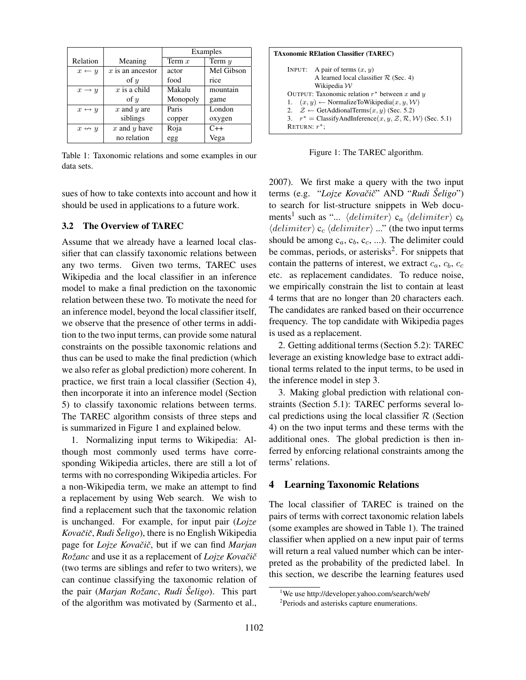|                       |                    | Examples |            |  |
|-----------------------|--------------------|----------|------------|--|
| Relation              | Meaning            | Term $x$ | Term $y$   |  |
| $x \leftarrow y$      | $x$ is an ancestor | actor    | Mel Gibson |  |
|                       | of $y$             | food     | rice       |  |
| $x \rightarrow y$     | $x$ is a child     | Makalu   | mountain   |  |
|                       | of $y$             | Monopoly | game       |  |
| $x \leftrightarrow y$ | $x$ and $y$ are    | Paris    | London     |  |
|                       | siblings           | copper   | oxygen     |  |
| $x \leftrightarrow y$ | $x$ and $y$ have   | Roja     | $C++$      |  |
|                       | no relation        | egg      | Vega       |  |

Table 1: Taxonomic relations and some examples in our data sets.

sues of how to take contexts into account and how it should be used in applications to a future work.

### 3.2 The Overview of TAREC

Assume that we already have a learned local classifier that can classify taxonomic relations between any two terms. Given two terms, TAREC uses Wikipedia and the local classifier in an inference model to make a final prediction on the taxonomic relation between these two. To motivate the need for an inference model, beyond the local classifier itself, we observe that the presence of other terms in addition to the two input terms, can provide some natural constraints on the possible taxonomic relations and thus can be used to make the final prediction (which we also refer as global prediction) more coherent. In practice, we first train a local classifier (Section 4), then incorporate it into an inference model (Section 5) to classify taxonomic relations between terms. The TAREC algorithm consists of three steps and is summarized in Figure 1 and explained below.

1. Normalizing input terms to Wikipedia: Although most commonly used terms have corresponding Wikipedia articles, there are still a lot of terms with no corresponding Wikipedia articles. For a non-Wikipedia term, we make an attempt to find a replacement by using Web search. We wish to find a replacement such that the taxonomic relation is unchanged. For example, for input pair (*Lojze Kovaciˇ cˇ*, *Rudi Seligo ˇ* ), there is no English Wikipedia page for *Lojze Kovačič*, but if we can find *Marjan Rožanc* and use it as a replacement of *Lojze Kovačič* (two terms are siblings and refer to two writers), we can continue classifying the taxonomic relation of the pair (*Marjan Rozanc ˇ* , *Rudi Seligo ˇ* ). This part of the algorithm was motivated by (Sarmento et al.,

Figure 1: The TAREC algorithm.

2007). We first make a query with the two input terms (e.g. "*Lojze Kovaciˇ cˇ*" AND "*Rudi Seligo ˇ* ") to search for list-structure snippets in Web documents<sup>1</sup> such as "...  $\langle delimiter \rangle c_a \langle delimiter \rangle c_b$  $\langle delimeter \rangle c_c \langle delimeter \rangle$  ..." (the two input terms should be among  $c_a, c_b, c_c, \ldots$ ). The delimiter could be commas, periods, or asterisks<sup>2</sup>. For snippets that contain the patterns of interest, we extract  $c_a$ ,  $c_b$ ,  $c_c$ etc. as replacement candidates. To reduce noise, we empirically constrain the list to contain at least 4 terms that are no longer than 20 characters each. The candidates are ranked based on their occurrence frequency. The top candidate with Wikipedia pages is used as a replacement.

2. Getting additional terms (Section 5.2): TAREC leverage an existing knowledge base to extract additional terms related to the input terms, to be used in the inference model in step 3.

3. Making global prediction with relational constraints (Section 5.1): TAREC performs several local predictions using the local classifier  $\mathcal R$  (Section 4) on the two input terms and these terms with the additional ones. The global prediction is then inferred by enforcing relational constraints among the terms' relations.

### 4 Learning Taxonomic Relations

The local classifier of TAREC is trained on the pairs of terms with correct taxonomic relation labels (some examples are showed in Table 1). The trained classifier when applied on a new input pair of terms will return a real valued number which can be interpreted as the probability of the predicted label. In this section, we describe the learning features used

<sup>1</sup>We use http://developer.yahoo.com/search/web/

<sup>2</sup> Periods and asterisks capture enumerations.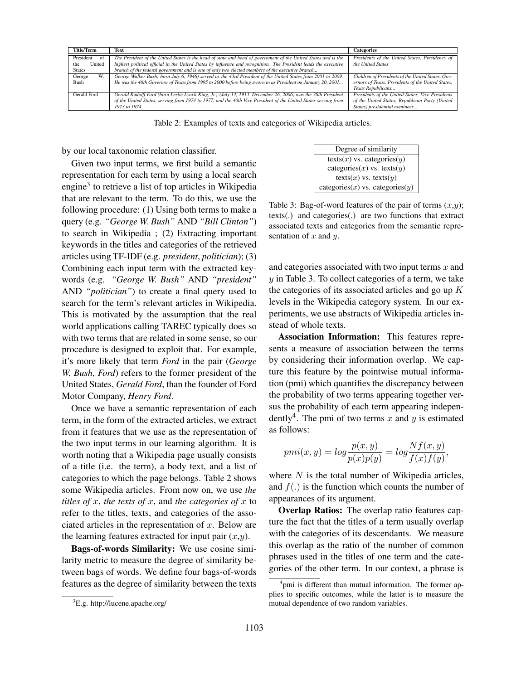| <b>Title/Term</b> | Text                                                                                                            | <b>Categories</b>                                 |
|-------------------|-----------------------------------------------------------------------------------------------------------------|---------------------------------------------------|
| President<br>ΩŤ   | The President of the United States is the head of state and head of government of the United States and is the  | Presidents of the United States, Presidency of    |
| United<br>the     | highest political official in the United States by influence and recognition. The President leads the executive | the United States                                 |
| <b>States</b>     | branch of the federal government and is one of only two elected members of the executive branch                 |                                                   |
| W.<br>George      | George Walker Bush; born July 6, 1946) served as the 43rd President of the United States from 2001 to 2009.     | Children of Presidents of the United States, Gov- |
| Bush              | He was the 46th Governor of Texas from 1995 to 2000 before being sworn in as President on January 20, 2001      | ernors of Texas, Presidents of the United States, |
|                   |                                                                                                                 | Texas Republicans                                 |
| Gerald Ford       | Gerald Rudolff Ford (born Leslie Lynch King, Jr.) (July 14, 1913 December 26, 2006) was the 38th President      | Presidents of the United States, Vice Presidents  |
|                   | of the United States, serving from 1974 to 1977, and the 40th Vice President of the United States serving from  | of the United States, Republican Party (United    |
|                   | 1973 to 1974.                                                                                                   | States) presidential nominees                     |
|                   |                                                                                                                 |                                                   |

Table 2: Examples of texts and categories of Wikipedia articles.

by our local taxonomic relation classifier.

Given two input terms, we first build a semantic representation for each term by using a local search engine<sup>3</sup> to retrieve a list of top articles in Wikipedia that are relevant to the term. To do this, we use the following procedure: (1) Using both terms to make a query (e.g. *"George W. Bush"* AND *"Bill Clinton"*) to search in Wikipedia ; (2) Extracting important keywords in the titles and categories of the retrieved articles using TF-IDF (e.g. *president*, *politician*); (3) Combining each input term with the extracted keywords (e.g. *"George W. Bush"* AND *"president"* AND *"politician"*) to create a final query used to search for the term's relevant articles in Wikipedia. This is motivated by the assumption that the real world applications calling TAREC typically does so with two terms that are related in some sense, so our procedure is designed to exploit that. For example, it's more likely that term *Ford* in the pair (*George W. Bush*, *Ford*) refers to the former president of the United States, *Gerald Ford*, than the founder of Ford Motor Company, *Henry Ford*.

Once we have a semantic representation of each term, in the form of the extracted articles, we extract from it features that we use as the representation of the two input terms in our learning algorithm. It is worth noting that a Wikipedia page usually consists of a title (i.e. the term), a body text, and a list of categories to which the page belongs. Table 2 shows some Wikipedia articles. From now on, we use *the titles of*  $x$ , *the texts of*  $x$ , and *the categories of*  $x$  to refer to the titles, texts, and categories of the associated articles in the representation of  $x$ . Below are the learning features extracted for input pair  $(x,y)$ .

Bags-of-words Similarity: We use cosine similarity metric to measure the degree of similarity between bags of words. We define four bags-of-words features as the degree of similarity between the texts

Degree of similarity  $text(x)$  vs. categories $(y)$ categories $(x)$  vs. texts $(y)$ texts $(x)$  vs. texts $(y)$ categories $(x)$  vs. categories $(y)$ 

Table 3: Bag-of-word features of the pair of terms  $(x,y)$ ; texts(.) and categories(.) are two functions that extract associated texts and categories from the semantic representation of  $x$  and  $y$ .

and categories associated with two input terms  $x$  and  $y$  in Table 3. To collect categories of a term, we take the categories of its associated articles and go up  $K$ levels in the Wikipedia category system. In our experiments, we use abstracts of Wikipedia articles instead of whole texts.

Association Information: This features represents a measure of association between the terms by considering their information overlap. We capture this feature by the pointwise mutual information (pmi) which quantifies the discrepancy between the probability of two terms appearing together versus the probability of each term appearing independently<sup>4</sup>. The pmi of two terms x and y is estimated as follows:

$$
pmi(x,y) = log \frac{p(x,y)}{p(x)p(y)} = log \frac{Nf(x,y)}{f(x)f(y)}
$$

,

where  $N$  is the total number of Wikipedia articles, and  $f(.)$  is the function which counts the number of appearances of its argument.

Overlap Ratios: The overlap ratio features capture the fact that the titles of a term usually overlap with the categories of its descendants. We measure this overlap as the ratio of the number of common phrases used in the titles of one term and the categories of the other term. In our context, a phrase is

<sup>3</sup>E.g. http://lucene.apache.org/

<sup>&</sup>lt;sup>4</sup>pmi is different than mutual information. The former applies to specific outcomes, while the latter is to measure the mutual dependence of two random variables.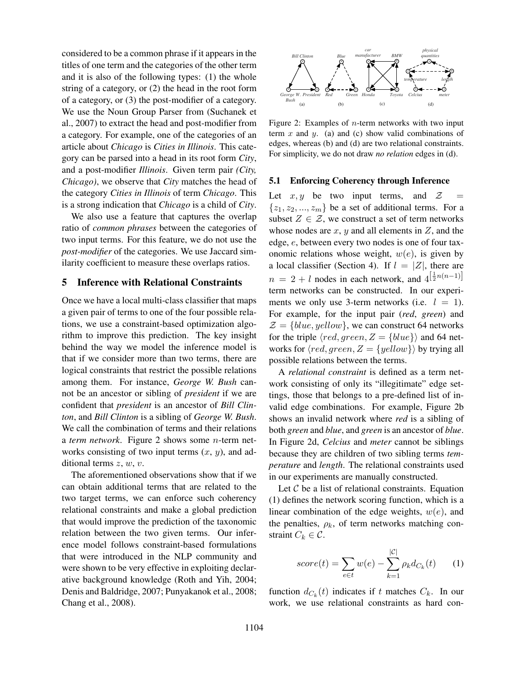considered to be a common phrase if it appears in the titles of one term and the categories of the other term and it is also of the following types: (1) the whole string of a category, or (2) the head in the root form of a category, or (3) the post-modifier of a category. We use the Noun Group Parser from (Suchanek et al., 2007) to extract the head and post-modifier from a category. For example, one of the categories of an article about *Chicago* is *Cities in Illinois*. This category can be parsed into a head in its root form *City*, and a post-modifier *Illinois*. Given term pair *(City, Chicago)*, we observe that *City* matches the head of the category *Cities in Illinois* of term *Chicago*. This is a strong indication that *Chicago* is a child of *City*.

We also use a feature that captures the overlap ratio of *common phrases* between the categories of two input terms. For this feature, we do not use the *post-modifier* of the categories. We use Jaccard similarity coefficient to measure these overlaps ratios.

### 5 Inference with Relational Constraints

Once we have a local multi-class classifier that maps a given pair of terms to one of the four possible relations, we use a constraint-based optimization algorithm to improve this prediction. The key insight behind the way we model the inference model is that if we consider more than two terms, there are logical constraints that restrict the possible relations among them. For instance, *George W. Bush* cannot be an ancestor or sibling of *president* if we are confident that *president* is an ancestor of *Bill Clinton*, and *Bill Clinton* is a sibling of *George W. Bush*. We call the combination of terms and their relations a *term network*. Figure 2 shows some n-term networks consisting of two input terms  $(x, y)$ , and additional terms  $z, w, v$ .

The aforementioned observations show that if we can obtain additional terms that are related to the two target terms, we can enforce such coherency relational constraints and make a global prediction that would improve the prediction of the taxonomic relation between the two given terms. Our inference model follows constraint-based formulations that were introduced in the NLP community and were shown to be very effective in exploiting declarative background knowledge (Roth and Yih, 2004; Denis and Baldridge, 2007; Punyakanok et al., 2008; Chang et al., 2008).



Figure 2: Examples of  $n$ -term networks with two input term  $x$  and  $y$ . (a) and (c) show valid combinations of edges, whereas (b) and (d) are two relational constraints. For simplicity, we do not draw *no relation* edges in (d).

#### 5.1 Enforcing Coherency through Inference

Let  $x, y$  be two input terms, and  $\mathcal{Z}$  =  $\{z_1, z_2, ..., z_m\}$  be a set of additional terms. For a subset  $Z \in \mathcal{Z}$ , we construct a set of term networks whose nodes are  $x$ ,  $y$  and all elements in  $Z$ , and the edge, e, between every two nodes is one of four taxonomic relations whose weight,  $w(e)$ , is given by a local classifier (Section 4). If  $l = |Z|$ , there are  $n = 2 + l$  nodes in each network, and  $4^{\left[\frac{1}{2}n(n-1)\right]}$ term networks can be constructed. In our experiments we only use 3-term networks (i.e.  $l = 1$ ). For example, for the input pair (*red*, *green*) and  $\mathcal{Z} = \{blue, yellow\}$ , we can construct 64 networks for the triple  $\langle red, green, Z = \{blue\}\rangle$  and 64 networks for  $\langle red, green, Z = \{yellow\}\rangle$  by trying all possible relations between the terms.

A *relational constraint* is defined as a term network consisting of only its "illegitimate" edge settings, those that belongs to a pre-defined list of invalid edge combinations. For example, Figure 2b shows an invalid network where *red* is a sibling of both *green* and *blue*, and *green* is an ancestor of *blue*. In Figure 2d, *Celcius* and *meter* cannot be siblings because they are children of two sibling terms *temperature* and *length*. The relational constraints used in our experiments are manually constructed.

Let  $C$  be a list of relational constraints. Equation (1) defines the network scoring function, which is a linear combination of the edge weights,  $w(e)$ , and the penalties,  $\rho_k$ , of term networks matching constraint  $C_k \in \mathcal{C}$ .

$$
score(t) = \sum_{e \in t} w(e) - \sum_{k=1}^{|C|} \rho_k d_{C_k}(t) \qquad (1)
$$

function  $d_{C_k}(t)$  indicates if t matches  $C_k$ . In our work, we use relational constraints as hard con-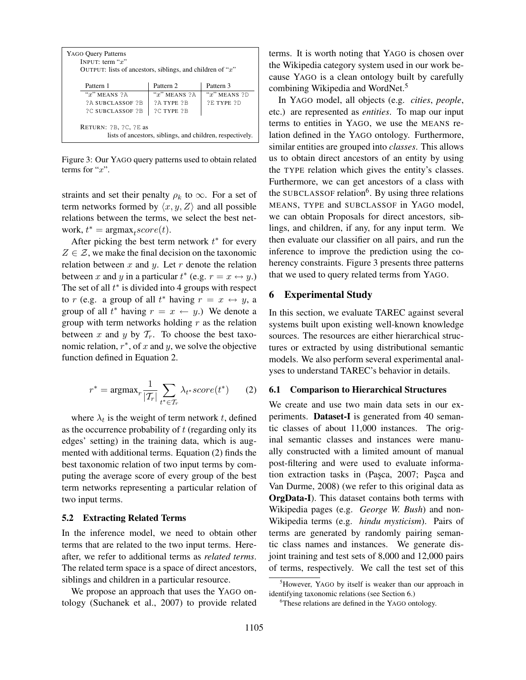| <b>YAGO Query Patterns</b><br>INPUT: term " $x$ "<br>OUTPUT: lists of ancestors, siblings, and children of " $x$ " |                   |                   |  |  |
|--------------------------------------------------------------------------------------------------------------------|-------------------|-------------------|--|--|
| Pattern 1                                                                                                          | Pattern 2         | Pattern 3         |  |  |
| " $x$ " MEANS $2A$                                                                                                 | " $x$ " MEANS ?A  | " $x$ " MEANS ?D  |  |  |
| <b>2A SUBCLASSOF 2B</b>                                                                                            | <b>2A TYPE 2B</b> | <b>2E TYPE 2D</b> |  |  |
| <b>?C SUBCLASSOF ?B</b>                                                                                            | <b>?C TYPE ?B</b> |                   |  |  |
| RETURN: $?B$ , $?C$ , $?E$ as<br>lists of ancestors, siblings, and children, respectively.                         |                   |                   |  |  |

Figure 3: Our YAGO query patterns used to obtain related terms for " $x$ ".

straints and set their penalty  $\rho_k$  to  $\infty$ . For a set of term networks formed by  $\langle x, y, Z \rangle$  and all possible relations between the terms, we select the best network,  $t^* = \text{argmax}_t score(t)$ .

After picking the best term network  $t^*$  for every  $Z \in \mathcal{Z}$ , we make the final decision on the taxonomic relation between  $x$  and  $y$ . Let  $r$  denote the relation between x and y in a particular  $t^*$  (e.g.  $r = x \leftrightarrow y$ .) The set of all  $t^*$  is divided into 4 groups with respect to r (e.g. a group of all  $t^*$  having  $r = x \leftrightarrow y$ , a group of all  $t^*$  having  $r = x \leftarrow y$ .) We denote a group with term networks holding  $r$  as the relation between x and y by  $\mathcal{T}_r$ . To choose the best taxonomic relation,  $r^*$ , of x and y, we solve the objective function defined in Equation 2.

$$
r^* = \operatorname{argmax}_r \frac{1}{|\mathcal{T}_r|} \sum_{t^* \in \mathcal{T}_r} \lambda_{t^*} score(t^*) \qquad (2)
$$

where  $\lambda_t$  is the weight of term network t, defined as the occurrence probability of  $t$  (regarding only its edges' setting) in the training data, which is augmented with additional terms. Equation (2) finds the best taxonomic relation of two input terms by computing the average score of every group of the best term networks representing a particular relation of two input terms.

#### 5.2 Extracting Related Terms

In the inference model, we need to obtain other terms that are related to the two input terms. Hereafter, we refer to additional terms as *related terms*. The related term space is a space of direct ancestors, siblings and children in a particular resource.

We propose an approach that uses the YAGO ontology (Suchanek et al., 2007) to provide related terms. It is worth noting that YAGO is chosen over the Wikipedia category system used in our work because YAGO is a clean ontology built by carefully combining Wikipedia and WordNet.<sup>5</sup>

In YAGO model, all objects (e.g. *cities*, *people*, etc.) are represented as *entities*. To map our input terms to entities in YAGO, we use the MEANS relation defined in the YAGO ontology. Furthermore, similar entities are grouped into *classes*. This allows us to obtain direct ancestors of an entity by using the TYPE relation which gives the entity's classes. Furthermore, we can get ancestors of a class with the SUBCLASSOF relation<sup>6</sup>. By using three relations MEANS, TYPE and SUBCLASSOF in YAGO model, we can obtain Proposals for direct ancestors, siblings, and children, if any, for any input term. We then evaluate our classifier on all pairs, and run the inference to improve the prediction using the coherency constraints. Figure 3 presents three patterns that we used to query related terms from YAGO.

### 6 Experimental Study

In this section, we evaluate TAREC against several systems built upon existing well-known knowledge sources. The resources are either hierarchical structures or extracted by using distributional semantic models. We also perform several experimental analyses to understand TAREC's behavior in details.

#### 6.1 Comparison to Hierarchical Structures

We create and use two main data sets in our experiments. Dataset-I is generated from 40 semantic classes of about 11,000 instances. The original semantic classes and instances were manually constructed with a limited amount of manual post-filtering and were used to evaluate information extraction tasks in (Paşca, 2007; Paşca and Van Durme, 2008) (we refer to this original data as OrgData-I). This dataset contains both terms with Wikipedia pages (e.g. *George W. Bush*) and non-Wikipedia terms (e.g. *hindu mysticism*). Pairs of terms are generated by randomly pairing semantic class names and instances. We generate disjoint training and test sets of 8,000 and 12,000 pairs of terms, respectively. We call the test set of this

<sup>&</sup>lt;sup>5</sup>However, YAGO by itself is weaker than our approach in identifying taxonomic relations (see Section 6.)

<sup>&</sup>lt;sup>6</sup>These relations are defined in the YAGO ontology.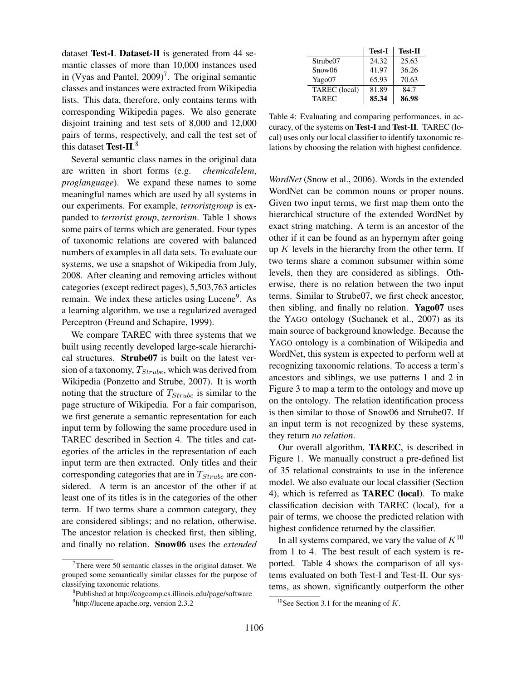dataset Test-I. Dataset-II is generated from 44 semantic classes of more than 10,000 instances used in (Vyas and Pantel,  $2009$ )<sup>7</sup>. The original semantic classes and instances were extracted from Wikipedia lists. This data, therefore, only contains terms with corresponding Wikipedia pages. We also generate disjoint training and test sets of 8,000 and 12,000 pairs of terms, respectively, and call the test set of this dataset Test-II. $^8$ 

Several semantic class names in the original data are written in short forms (e.g. *chemicalelem*, *proglanguage*). We expand these names to some meaningful names which are used by all systems in our experiments. For example, *terroristgroup* is expanded to *terrorist group*, *terrorism*. Table 1 shows some pairs of terms which are generated. Four types of taxonomic relations are covered with balanced numbers of examples in all data sets. To evaluate our systems, we use a snapshot of Wikipedia from July, 2008. After cleaning and removing articles without categories (except redirect pages), 5,503,763 articles remain. We index these articles using Lucene<sup>9</sup>. As a learning algorithm, we use a regularized averaged Perceptron (Freund and Schapire, 1999).

We compare TAREC with three systems that we built using recently developed large-scale hierarchical structures. Strube07 is built on the latest version of a taxonomy,  $T_{Strube}$ , which was derived from Wikipedia (Ponzetto and Strube, 2007). It is worth noting that the structure of  $T_{Strube}$  is similar to the page structure of Wikipedia. For a fair comparison, we first generate a semantic representation for each input term by following the same procedure used in TAREC described in Section 4. The titles and categories of the articles in the representation of each input term are then extracted. Only titles and their corresponding categories that are in  $T_{Strube}$  are considered. A term is an ancestor of the other if at least one of its titles is in the categories of the other term. If two terms share a common category, they are considered siblings; and no relation, otherwise. The ancestor relation is checked first, then sibling, and finally no relation. Snow06 uses the *extended*

|               | <b>Test-I</b> | <b>Test-II</b> |
|---------------|---------------|----------------|
| Strube07      | 24.32         | 25.63          |
| Snow06        | 41.97         | 36.26          |
| Yago07        | 65.93         | 70.63          |
| TAREC (local) | 81.89         | 84.7           |
| <b>TAREC</b>  | 85.34         | 86.98          |

Table 4: Evaluating and comparing performances, in accuracy, of the systems on Test-I and Test-II. TAREC (local) uses only our local classifier to identify taxonomic relations by choosing the relation with highest confidence.

*WordNet* (Snow et al., 2006). Words in the extended WordNet can be common nouns or proper nouns. Given two input terms, we first map them onto the hierarchical structure of the extended WordNet by exact string matching. A term is an ancestor of the other if it can be found as an hypernym after going up  $K$  levels in the hierarchy from the other term. If two terms share a common subsumer within some levels, then they are considered as siblings. Otherwise, there is no relation between the two input terms. Similar to Strube07, we first check ancestor, then sibling, and finally no relation. Yago07 uses the YAGO ontology (Suchanek et al., 2007) as its main source of background knowledge. Because the YAGO ontology is a combination of Wikipedia and WordNet, this system is expected to perform well at recognizing taxonomic relations. To access a term's ancestors and siblings, we use patterns 1 and 2 in Figure 3 to map a term to the ontology and move up on the ontology. The relation identification process is then similar to those of Snow06 and Strube07. If an input term is not recognized by these systems, they return *no relation*.

Our overall algorithm, TAREC, is described in Figure 1. We manually construct a pre-defined list of 35 relational constraints to use in the inference model. We also evaluate our local classifier (Section 4), which is referred as TAREC (local). To make classification decision with TAREC (local), for a pair of terms, we choose the predicted relation with highest confidence returned by the classifier.

In all systems compared, we vary the value of  $K^{10}$ from 1 to 4. The best result of each system is reported. Table 4 shows the comparison of all systems evaluated on both Test-I and Test-II. Our systems, as shown, significantly outperform the other

 $7$ There were 50 semantic classes in the original dataset. We grouped some semantically similar classes for the purpose of classifying taxonomic relations.

<sup>8</sup> Published at http://cogcomp.cs.illinois.edu/page/software

<sup>9</sup> http://lucene.apache.org, version 2.3.2

<sup>&</sup>lt;sup>10</sup>See Section 3.1 for the meaning of  $K$ .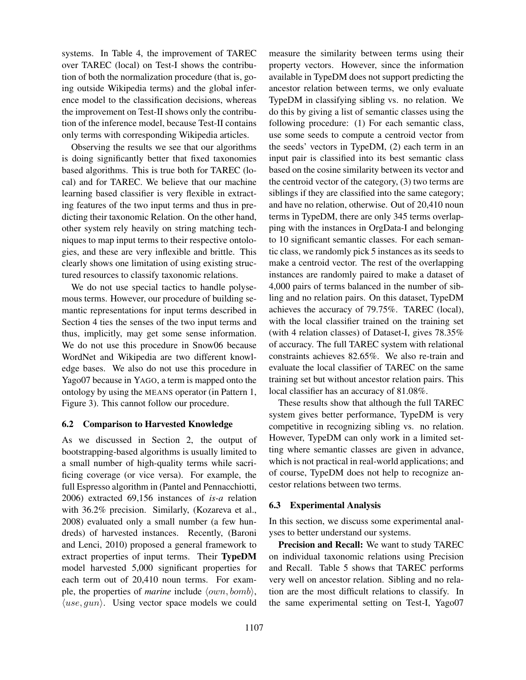systems. In Table 4, the improvement of TAREC over TAREC (local) on Test-I shows the contribution of both the normalization procedure (that is, going outside Wikipedia terms) and the global inference model to the classification decisions, whereas the improvement on Test-II shows only the contribution of the inference model, because Test-II contains only terms with corresponding Wikipedia articles.

Observing the results we see that our algorithms is doing significantly better that fixed taxonomies based algorithms. This is true both for TAREC (local) and for TAREC. We believe that our machine learning based classifier is very flexible in extracting features of the two input terms and thus in predicting their taxonomic Relation. On the other hand, other system rely heavily on string matching techniques to map input terms to their respective ontologies, and these are very inflexible and brittle. This clearly shows one limitation of using existing structured resources to classify taxonomic relations.

We do not use special tactics to handle polysemous terms. However, our procedure of building semantic representations for input terms described in Section 4 ties the senses of the two input terms and thus, implicitly, may get some sense information. We do not use this procedure in Snow06 because WordNet and Wikipedia are two different knowledge bases. We also do not use this procedure in Yago07 because in YAGO, a term is mapped onto the ontology by using the MEANS operator (in Pattern 1, Figure 3). This cannot follow our procedure.

### 6.2 Comparison to Harvested Knowledge

As we discussed in Section 2, the output of bootstrapping-based algorithms is usually limited to a small number of high-quality terms while sacrificing coverage (or vice versa). For example, the full Espresso algorithm in (Pantel and Pennacchiotti, 2006) extracted 69,156 instances of *is-a* relation with 36.2% precision. Similarly, (Kozareva et al., 2008) evaluated only a small number (a few hundreds) of harvested instances. Recently, (Baroni and Lenci, 2010) proposed a general framework to extract properties of input terms. Their TypeDM model harvested 5,000 significant properties for each term out of 20,410 noun terms. For example, the properties of *marine* include  $\langle own, bomb \rangle$ ,  $\langle use, gun \rangle$ . Using vector space models we could

measure the similarity between terms using their property vectors. However, since the information available in TypeDM does not support predicting the ancestor relation between terms, we only evaluate TypeDM in classifying sibling vs. no relation. We do this by giving a list of semantic classes using the following procedure: (1) For each semantic class, use some seeds to compute a centroid vector from the seeds' vectors in TypeDM, (2) each term in an input pair is classified into its best semantic class based on the cosine similarity between its vector and the centroid vector of the category, (3) two terms are siblings if they are classified into the same category; and have no relation, otherwise. Out of 20,410 noun terms in TypeDM, there are only 345 terms overlapping with the instances in OrgData-I and belonging to 10 significant semantic classes. For each semantic class, we randomly pick 5 instances as its seeds to make a centroid vector. The rest of the overlapping instances are randomly paired to make a dataset of 4,000 pairs of terms balanced in the number of sibling and no relation pairs. On this dataset, TypeDM achieves the accuracy of 79.75%. TAREC (local), with the local classifier trained on the training set (with 4 relation classes) of Dataset-I, gives 78.35% of accuracy. The full TAREC system with relational constraints achieves 82.65%. We also re-train and evaluate the local classifier of TAREC on the same training set but without ancestor relation pairs. This local classifier has an accuracy of 81.08%.

These results show that although the full TAREC system gives better performance, TypeDM is very competitive in recognizing sibling vs. no relation. However, TypeDM can only work in a limited setting where semantic classes are given in advance, which is not practical in real-world applications; and of course, TypeDM does not help to recognize ancestor relations between two terms.

### 6.3 Experimental Analysis

In this section, we discuss some experimental analyses to better understand our systems.

Precision and Recall: We want to study TAREC on individual taxonomic relations using Precision and Recall. Table 5 shows that TAREC performs very well on ancestor relation. Sibling and no relation are the most difficult relations to classify. In the same experimental setting on Test-I, Yago07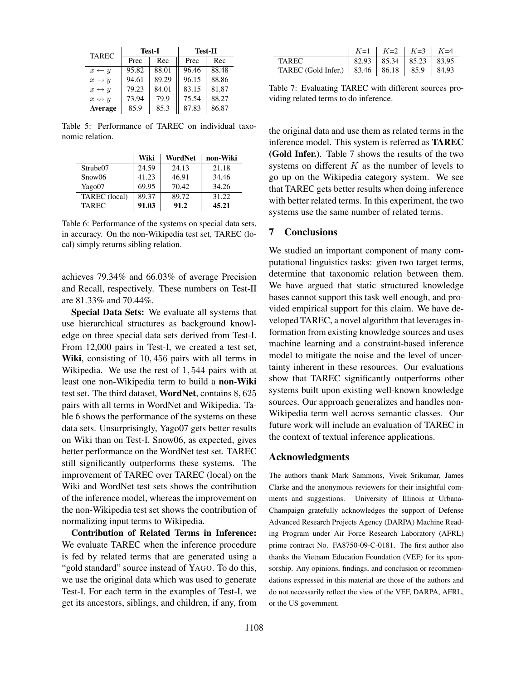| <b>TAREC</b>          | <b>Test-I</b> |       | <b>Test-II</b> |       |  |
|-----------------------|---------------|-------|----------------|-------|--|
|                       | Prec          | Rec   | Prec           | Rec   |  |
| $x \leftarrow y$      | 95.82         | 88.01 | 96.46          | 88.48 |  |
| $x \rightarrow y$     | 94.61         | 89.29 | 96.15          | 88.86 |  |
| $x \leftrightarrow y$ | 79.23         | 84.01 | 83.15          | 81.87 |  |
| $x \leftrightarrow y$ | 73.94         | 79.9  | 75.54          | 88.27 |  |
| Average               | 85.9          | 85.3  | 87.83          | 86.87 |  |

Table 5: Performance of TAREC on individual taxonomic relation.

|               | Wiki  | WordNet | non-Wiki |
|---------------|-------|---------|----------|
| Strube07      | 24.59 | 24.13   | 21.18    |
| Snow06        | 41.23 | 46.91   | 34.46    |
| Yago07        | 69.95 | 70.42   | 34.26    |
| TAREC (local) | 89.37 | 89.72   | 31.22    |
| <b>TAREC</b>  | 91.03 | 91.2    | 45.21    |

Table 6: Performance of the systems on special data sets, in accuracy. On the non-Wikipedia test set, TAREC (local) simply returns sibling relation.

achieves 79.34% and 66.03% of average Precision and Recall, respectively. These numbers on Test-II are 81.33% and 70.44%.

Special Data Sets: We evaluate all systems that use hierarchical structures as background knowledge on three special data sets derived from Test-I. From 12,000 pairs in Test-I, we created a test set, Wiki, consisting of 10, 456 pairs with all terms in Wikipedia. We use the rest of 1, 544 pairs with at least one non-Wikipedia term to build a non-Wiki test set. The third dataset, WordNet, contains 8, 625 pairs with all terms in WordNet and Wikipedia. Table 6 shows the performance of the systems on these data sets. Unsurprisingly, Yago07 gets better results on Wiki than on Test-I. Snow06, as expected, gives better performance on the WordNet test set. TAREC still significantly outperforms these systems. The improvement of TAREC over TAREC (local) on the Wiki and WordNet test sets shows the contribution of the inference model, whereas the improvement on the non-Wikipedia test set shows the contribution of normalizing input terms to Wikipedia.

Contribution of Related Terms in Inference: We evaluate TAREC when the inference procedure is fed by related terms that are generated using a "gold standard" source instead of YAGO. To do this, we use the original data which was used to generate Test-I. For each term in the examples of Test-I, we get its ancestors, siblings, and children, if any, from

|                                                    | $K=1$ $K=2$ $K=3$ $K=4$ |  |
|----------------------------------------------------|-------------------------|--|
| TAREC.                                             | 82.93 85.34 85.23 83.95 |  |
| TAREC (Gold Infer.)   83.46   86.18   85.9   84.93 |                         |  |

Table 7: Evaluating TAREC with different sources providing related terms to do inference.

the original data and use them as related terms in the inference model. This system is referred as TAREC (Gold Infer.). Table 7 shows the results of the two systems on different  $K$  as the number of levels to go up on the Wikipedia category system. We see that TAREC gets better results when doing inference with better related terms. In this experiment, the two systems use the same number of related terms.

# 7 Conclusions

We studied an important component of many computational linguistics tasks: given two target terms, determine that taxonomic relation between them. We have argued that static structured knowledge bases cannot support this task well enough, and provided empirical support for this claim. We have developed TAREC, a novel algorithm that leverages information from existing knowledge sources and uses machine learning and a constraint-based inference model to mitigate the noise and the level of uncertainty inherent in these resources. Our evaluations show that TAREC significantly outperforms other systems built upon existing well-known knowledge sources. Our approach generalizes and handles non-Wikipedia term well across semantic classes. Our future work will include an evaluation of TAREC in the context of textual inference applications.

#### Acknowledgments

The authors thank Mark Sammons, Vivek Srikumar, James Clarke and the anonymous reviewers for their insightful comments and suggestions. University of Illinois at Urbana-Champaign gratefully acknowledges the support of Defense Advanced Research Projects Agency (DARPA) Machine Reading Program under Air Force Research Laboratory (AFRL) prime contract No. FA8750-09-C-0181. The first author also thanks the Vietnam Education Foundation (VEF) for its sponsorship. Any opinions, findings, and conclusion or recommendations expressed in this material are those of the authors and do not necessarily reflect the view of the VEF, DARPA, AFRL, or the US government.